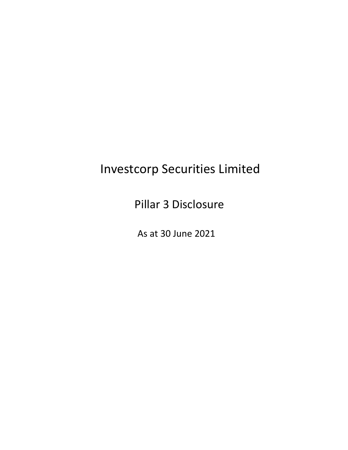# Investcorp Securities Limited

Pillar 3 Disclosure

As at 30 June 2021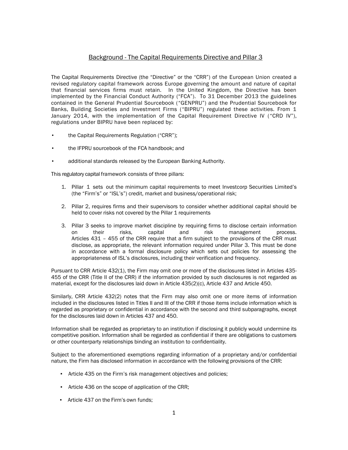## Background - The Capital Requirements Directive and Pillar 3

The Capital Requirements Directive (the "Directive" or the "CRR") of the European Union created a revised regulatory capital framework across Europe governing the amount and nature of capital that financial services firms must retain. In the United Kingdom, the Directive has been implemented by the Financial Conduct Authority ("FCA"). To 31 December 2013 the guidelines contained in the General Prudential Sourcebook ("GENPRU") and the Prudential Sourcebook for Banks, Building Societies and Investment Firms ("BIPRU") regulated these activities. From 1 January 2014, with the implementation of the Capital Requirement Directive IV ( "CRD IV"), regulations under BIPRU have been replaced by:

- the Capital Requirements Regulation ("CRR");
- the IFPRU sourcebook of the FCA handbook; and
- additional standards released by the European Banking Authority.

This regulatory capital framework consists of three pillars:

- 1. Pillar 1 sets out the minimum capital requirements to meet Investcorp Securities Limited's (the "Firm's" or "ISL's") credit, market and business/operational risk;
- 2. Pillar 2, requires firms and their supervisors to consider whether additional capital should be held to cover risks not covered by the Pillar 1 requirements
- 3. Pillar 3 seeks to improve market discipline by requiring firms to disclose certain information on their risks, capital and risk management process. Articles 431 – 455 of the CRR require that a firm subject to the provisions of the CRR must disclose, as appropriate, the relevant information required under Pillar 3. This must be done in accordance with a formal disclosure policy which sets out policies for assessing the appropriateness of ISL's disclosures, including their verification and frequency.

Pursuant to CRR Article 432(1), the Firm may omit one or more of the disclosures listed in Articles 435- 455 of the CRR (Title II of the CRR) if the information provided by such disclosures is not regarded as material, except for the disclosures laid down in Article 435(2)(c), Article 437 and Article 450.

Similarly, CRR Article 432(2) notes that the Firm may also omit one or more items of information included in the disclosures listed in Titles II and III of the CRR if those items include information which is regarded as proprietary or confidential in accordance with the second and third subparagraphs, except for the disclosures laid down in Articles 437 and 450.

Information shall be regarded as proprietary to an institution if disclosing it publicly would undermine its competitive position. Information shall be regarded as confidential if there are obligations to customers or other counterparty relationships binding an institution to confidentiality.

Subject to the aforementioned exemptions regarding information of a proprietary and/or confidential nature, the Firm has disclosed information in accordance with the following provisions of the CRR:

- Article 435 on the Firm's risk management objectives and policies;
- Article 436 on the scope of application of the CRR;
- Article 437 on the Firm's own funds;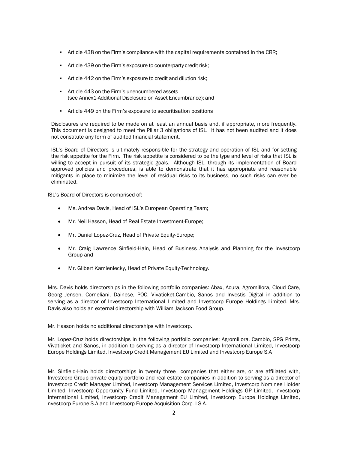- Article 438 on the Firm's compliance with the capital requirements contained in the CRR;
- Article 439 on the Firm's exposure to counterparty credit risk;
- Article 442 on the Firm's exposure to credit and dilution risk;
- Article 443 on the Firm's unencumbered assets (see Annex1-Additional Disclosure on Asset Encumbrance); and
- Article 449 on the Firm's exposure to securitisation positions

Disclosures are required to be made on at least an annual basis and, if appropriate, more frequently. This document is designed to meet the Pillar 3 obligations of ISL. It has not been audited and it does not constitute any form of audited financial statement.

ISL's Board of Directors is ultimately responsible for the strategy and operation of ISL and for setting the risk appetite for the Firm. The risk appetite is considered to be the type and level of risks that ISL is willing to accept in pursuit of its strategic goals. Although ISL, through its implementation of Board approved policies and procedures, is able to demonstrate that it has appropriate and reasonable mitigants in place to minimize the level of residual risks to its business, no such risks can ever be eliminated.

ISL's Board of Directors is comprised of:

- Ms. Andrea Davis, Head of ISL's European Operating Team;
- Mr. Neil Hasson, Head of Real Estate Investment-Europe;
- Mr. Daniel Lopez-Cruz, Head of Private Equity-Europe;
- Mr. Craig Lawrence Sinfield-Hain, Head of Business Analysis and Planning for the Investcorp Group and
- Mr. Gilbert Kamieniecky, Head of Private Equity-Technology.

Mrs. Davis holds directorships in the following portfolio companies: Abax, Acura, Agromillora, Cloud Care, Georg Jensen, Corneliani, Dainese, POC, Vivaticket,Cambio, Sanos and Investis Digital in addition to serving as a director of Investcorp International Limited and Investcorp Europe Holdings Limited. Mrs. Davis also holds an external directorship with William Jackson Food Group.

Mr. Hasson holds no additional directorships with Investcorp.

Mr. Lopez-Cruz holds directorships in the following portfolio companies: Agromillora, Cambio, SPG Prints, Vivaticket and Sanos, in addition to serving as a director of Investcorp International Limited, Investcorp Europe Holdings Limited, Investcorp Credit Management EU Limited and Investcorp Europe S.A

Mr. Sinfield-Hain holds directorships in twenty three companies that either are, or are affiliated with, Investcorp Group private equity portfolio and real estate companies in addition to serving as a director of Investcorp Credit Manager Limited, Investcorp Management Services Limited, Investcorp Nominee Holder Limited, Investcorp Opportunity Fund Limited, Investcorp Management Holdings GP Limited, Investcorp International Limited, Investcorp Credit Management EU Limited, Investcorp Europe Holdings Limited, nvestcorp Europe S.A and Investcorp Europe Acquisition Corp. I S.A.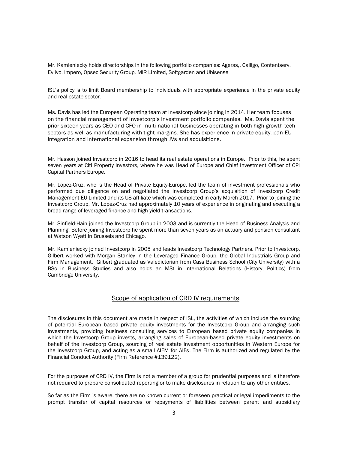Mr. Kamieniecky holds directorships in the following portfolio companies: Ageras,, Calligo, Contentserv, Eviivo, Impero, Opsec Security Group, MIR Limited, Softgarden and Ubisense

ISL's policy is to limit Board membership to individuals with appropriate experience in the private equity and real estate sector.

Ms. Davis has led the European Operating team at Investcorp since joining in 2014. Her team focuses on the financial management of Investcorp's investment portfolio companies. Ms. Davis spent the prior sixteen years as CEO and CFO in multi-national businesses operating in both high growth tech sectors as well as manufacturing with tight margins. She has experience in private equity, pan-EU integration and international expansion through JVs and acquisitions.

Mr. Hasson joined Investcorp in 2016 to head its real estate operations in Europe. Prior to this, he spent seven years at Citi Property Investors, where he was Head of Europe and Chief Investment Officer of CPI Capital Partners Europe.

Mr. Lopez-Cruz, who is the Head of Private Equity-Europe, led the team of investment professionals who performed due diligence on and negotiated the Investcorp Group's acquisition of Investcorp Credit Management EU Limited and its US affiliate which was completed in early March 2017. Prior to joining the Investcorp Group, Mr. Lopez-Cruz had approximately 10 years of experience in originating and executing a broad range of leveraged finance and high yield transactions.

Mr. Sinfield-Hain joined the Investcorp Group in 2003 and is currently the Head of Business Analysis and Planning. Before joining Investcorp he spent more than seven years as an actuary and pension consultant at Watson Wyatt in Brussels and Chicago.

Mr. Kamieniecky joined Investcorp in 2005 and leads Investcorp Technology Partners. Prior to Investcorp, Gilbert worked with Morgan Stanley in the Leveraged Finance Group, the Global Industrials Group and Firm Management. Gilbert graduated as Valedictorian from Cass Business School (City University) with a BSc in Business Studies and also holds an MSt in International Relations (History, Politics) from Cambridge University.

## Scope of application of CRD IV requirements

The disclosures in this document are made in respect of ISL, the activities of which include the sourcing of potential European based private equity investments for the Investcorp Group and arranging such investments, providing business consulting services to European based private equity companies in which the Investcorp Group invests, arranging sales of European-based private equity investments on behalf of the Investcorp Group, sourcing of real estate investment opportunities in Western Europe for the Investcorp Group, and acting as a small AIFM for AIFs. The Firm is authorized and regulated by the Financial Conduct Authority (Firm Reference #139122).

For the purposes of CRD IV, the Firm is not a member of a group for prudential purposes and is therefore not required to prepare consolidated reporting or to make disclosures in relation to any other entities.

So far as the Firm is aware, there are no known current or foreseen practical or legal impediments to the prompt transfer of capital resources or repayments of liabilities between parent and subsidiary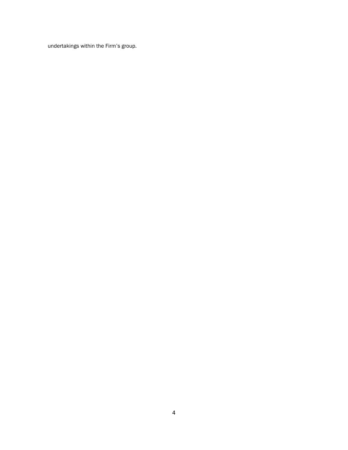undertakings within the Firm's group.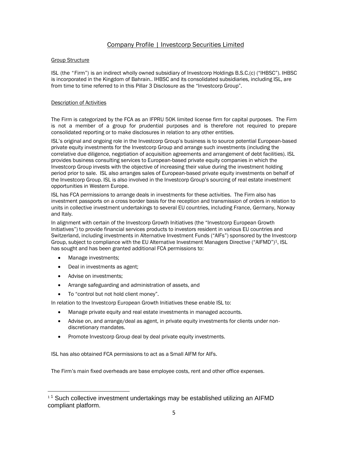## Company Profile | Investcorp Securities Limited

## Group Structure

ISL (the "Firm") is an indirect wholly owned subsidiary of Investcorp Holdings B.S.C.(c) ("IHBSC"). IHBSC is incorporated in the Kingdom of Bahrain.. IHBSC and its consolidated subsidiaries, including ISL, are from time to time referred to in this Pillar 3 Disclosure as the "Investcorp Group".

## Description of Activities

The Firm is categorized by the FCA as an IFPRU 50K limited license firm for capital purposes. The Firm is not a member of a group for prudential purposes and is therefore not required to prepare consolidated reporting or to make disclosures in relation to any other entities.

ISL's original and ongoing role in the Investcorp Group's business is to source potential European-based private equity investments for the Investcorp Group and arrange such investments (including the correlative due diligence, negotiation of acquisition agreements and arrangement of debt facilities). ISL provides business consulting services to European-based private equity companies in which the Investcorp Group invests with the objective of increasing their value during the investment holding period prior to sale. ISL also arranges sales of European-based private equity investments on behalf of the Investcorp Group. ISL is also involved in the Investcorp Group's sourcing of real estate investment opportunities in Western Europe.

ISL has FCA permissions to arrange deals in investments for these activities. The Firm also has investment passports on a cross border basis for the reception and transmission of orders in relation to units in collective investment undertakings to several EU countries, including France, Germany, Norway and Italy.

In alignment with certain of the Investcorp Growth Initiatives (the "Investcorp European Growth Initiatives") to provide financial services products to investors resident in various EU countries and Switzerland, including investments in Alternative Investment Funds ("AIFs") sponsored by the Investcorp Group, subject to compliance with the EU Alternative Investment Managers Directive ("AIFMD")<sup>1</sup>, ISL has sought and has been granted additional FCA permissions to:

- Manage investments;
- Deal in investments as agent:
- Advise on investments:
- Arrange safeguarding and administration of assets, and
- To "control but not hold client money".

In relation to the Investcorp European Growth Initiatives these enable ISL to:

- Manage private equity and real estate investments in managed accounts.
- Advise on, and arrange/deal as agent, in private equity investments for clients under nondiscretionary mandates.
- Promote Investcorp Group deal by deal private equity investments.

ISL has also obtained FCA permissions to act as a Small AIFM for AIFs.

The Firm's main fixed overheads are base employee costs, rent and other office expenses.

 $11$  Such collective investment undertakings may be established utilizing an AIFMD compliant platform.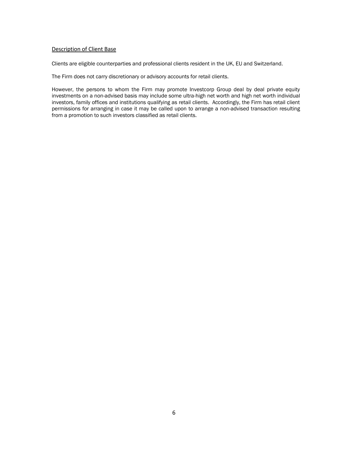## Description of Client Base

Clients are eligible counterparties and professional clients resident in the UK, EU and Switzerland.

The Firm does not carry discretionary or advisory accounts for retail clients.

However, the persons to whom the Firm may promote Investcorp Group deal by deal private equity investments on a non-advised basis may include some ultra-high net worth and high net worth individual investors, family offices and institutions qualifying as retail clients. Accordingly, the Firm has retail client permissions for arranging in case it may be called upon to arrange a non-advised transaction resulting from a promotion to such investors classified as retail clients.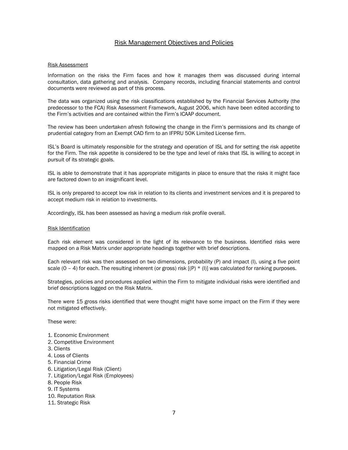## Risk Management Objectives and Policies

#### Risk Assessment

Information on the risks the Firm faces and how it manages them was discussed during internal consultation, data gathering and analysis. Company records, including financial statements and control documents were reviewed as part of this process.

The data was organized using the risk classifications established by the Financial Services Authority (the predecessor to the FCA) Risk Assessment Framework, August 2006, which have been edited according to the Firm's activities and are contained within the Firm's ICAAP document.

The review has been undertaken afresh following the change in the Firm's permissions and its change of prudential category from an Exempt CAD firm to an IFPRU 50K Limited License firm.

ISL's Board is ultimately responsible for the strategy and operation of ISL and for setting the risk appetite for the Firm. The risk appetite is considered to be the type and level of risks that ISL is willing to accept in pursuit of its strategic goals.

ISL is able to demonstrate that it has appropriate mitigants in place to ensure that the risks it might face are factored down to an insignificant level.

ISL is only prepared to accept low risk in relation to its clients and investment services and it is prepared to accept medium risk in relation to investments.

Accordingly, ISL has been assessed as having a medium risk profile overall.

#### Risk Identification

Each risk element was considered in the light of its relevance to the business. Identified risks were mapped on a Risk Matrix under appropriate headings together with brief descriptions.

Each relevant risk was then assessed on two dimensions, probability (P) and impact (I), using a five point scale (0 – 4) for each. The resulting inherent (or gross) risk  $[(P) * (I)]$  was calculated for ranking purposes.

Strategies, policies and procedures applied within the Firm to mitigate individual risks were identified and brief descriptions logged on the Risk Matrix.

There were 15 gross risks identified that were thought might have some impact on the Firm if they were not mitigated effectively.

These were:

- 1. Economic Environment
- 2. Competitive Environment
- 3. Clients
- 4. Loss of Clients
- 5. Financial Crime
- 6. Litigation/Legal Risk (Client)
- 7. Litigation/Legal Risk (Employees)
- 8. People Risk
- 9. IT Systems
- 10. Reputation Risk
- 11. Strategic Risk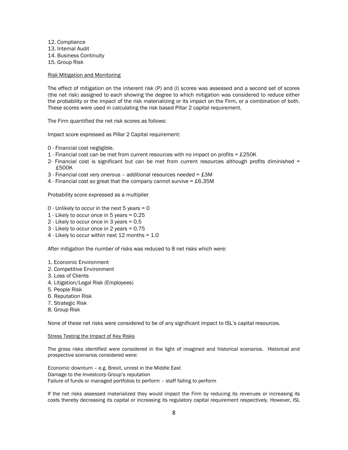12. Compliance 13. Internal Audit 14. Business Continuity 15. Group Risk

## Risk Mitigation and Monitoring

The effect of mitigation on the inherent risk (P) and (I) scores was assessed and a second set of scores (the net risk) assigned to each showing the degree to which mitigation was considered to reduce either the probability or the impact of the risk materializing or its impact on the Firm, or a combination of both. These scores were used in calculating the risk based Pillar 2 capital requirement.

The Firm quantified the net risk scores as follows:

Impact score expressed as Pillar 2 Capital requirement:

- 0 Financial cost negligible.
- 1 Financial cost can be met from current resources with no impact on profits =  $£250K$
- 2- Financial cost is significant but can be met from current resources although profits diminished = £500K
- 3 Financial cost very onerous additional resources needed = £3M
- 4 Financial cost so great that the company cannot survive  $= \text{\pounds}6.35M$

Probability score expressed as a multiplier

- 0 Unlikely to occur in the next 5 years = 0
- 1 Likely to occur once in 5 years = 0.25
- 2 Likely to occur once in 3 years = 0.5
- 3 Likely to occur once in 2 years = 0.75
- 4 Likely to occur within next 12 months = 1.0

After mitigation the number of risks was reduced to 8 net risks which were:

- 1. Economic Environment
- 2. Competitive Environment
- 3. Loss of Clients
- 4. Litigation/Legal Risk (Employees)
- 5. People Risk
- 6. Reputation Risk
- 7. Strategic Risk
- 8. Group Risk

None of these net risks were considered to be of any significant impact to ISL's capital resources.

#### Stress Testing the Impact of Key Risks

The gross risks identified were considered in the light of imagined and historical scenarios. Historical and prospective scenarios considered were:

Economic downturn – e.g. Brexit, unrest in the Middle East Damage to the Investcorp Group's reputation Failure of funds or managed portfolios to perform – staff failing to perform

If the net risks assessed materialized they would impact the Firm by reducing its revenues or increasing its costs thereby decreasing its capital or increasing its regulatory capital requirement respectively. However, ISL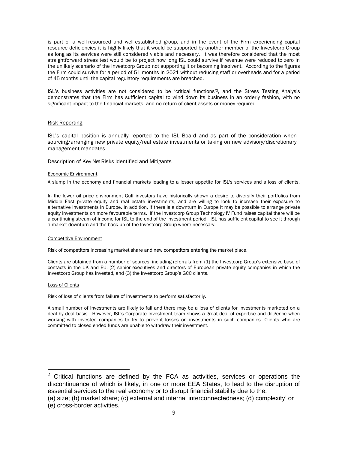is part of a well-resourced and well-established group, and in the event of the Firm experiencing capital resource deficiencies it is highly likely that it would be supported by another member of the Investcorp Group as long as its services were still considered viable and necessary. It was therefore considered that the most straightforward stress test would be to project how long ISL could survive if revenue were reduced to zero in the unlikely scenario of the Investcorp Group not supporting it or becoming insolvent. According to the figures the Firm could survive for a period of 51 months in 2021 without reducing staff or overheads and for a period of 45 months until the capital regulatory requirements are breached.

ISL's business activities are not considered to be 'critical functions'2, and the Stress Testing Analysis demonstrates that the Firm has sufficient capital to wind down its business in an orderly fashion, with no significant impact to the financial markets, and no return of client assets or money required.

#### Risk Reporting

ISL's capital position is annually reported to the ISL Board and as part of the consideration when sourcing/arranging new private equity/real estate investments or taking on new advisory/discretionary management mandates.

#### Description of Key Net Risks Identified and Mitigants

#### Economic Environment

A slump in the economy and financial markets leading to a lesser appetite for ISL's services and a loss of clients.

In the lower oil price environment Gulf investors have historically shown a desire to diversify their portfolios from Middle East private equity and real estate investments, and are willing to look to increase their exposure to alternative investments in Europe. In addition, if there is a downturn in Europe it may be possible to arrange private equity investments on more favourable terms. If the Investcorp Group Technology IV Fund raises capital there will be a continuing stream of income for ISL to the end of the investment period. ISL has sufficient capital to see it through a market downturn and the back-up of the Investcorp Group where necessary.

#### Competitive Environment

Risk of competitors increasing market share and new competitors entering the market place.

Clients are obtained from a number of sources, including referrals from (1) the Investcorp Group's extensive base of contacts in the UK and EU, (2) senior executives and directors of European private equity companies in which the Investcorp Group has invested, and (3) the Investcorp Group's GCC clients.

#### Loss of Clients

Risk of loss of clients from failure of investments to perform satisfactorily.

A small number of investments are likely to fail and there may be a loss of clients for investments marketed on a deal by deal basis. However, ISL's Corporate Investment team shows a great deal of expertise and diligence when working with investee companies to try to prevent losses on investments in such companies. Clients who are committed to closed ended funds are unable to withdraw their investment.

 $2$  Critical functions are defined by the FCA as activities, services or operations the discontinuance of which is likely, in one or more EEA States, to lead to the disruption of essential services to the real economy or to disrupt financial stability due to the:

<sup>(</sup>a) size; (b) market share; (c) external and internal interconnectedness; (d) complexity' or

<sup>(</sup>e) cross-border activities.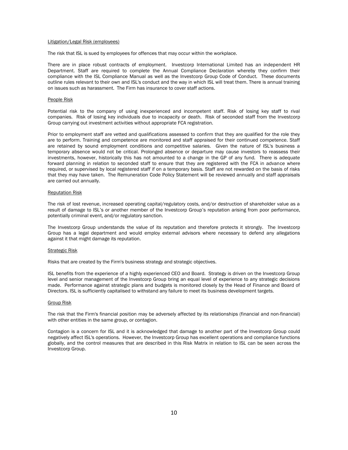#### Litigation/Legal Risk (employees)

The risk that ISL is sued by employees for offences that may occur within the workplace.

There are in place robust contracts of employment. Investcorp International Limited has an independent HR Department. Staff are required to complete the Annual Compliance Declaration whereby they confirm their compliance with the ISL Compliance Manual as well as the Investcorp Group Code of Conduct. These documents outline rules relevant to their own and ISL's conduct and the way in which ISL will treat them. There is annual training on issues such as harassment. The Firm has insurance to cover staff actions.

#### People Risk

Potential risk to the company of using inexperienced and incompetent staff. Risk of losing key staff to rival companies. Risk of losing key individuals due to incapacity or death. Risk of seconded staff from the Investcorp Group carrying out investment activities without appropriate FCA registration.

Prior to employment staff are vetted and qualifications assessed to confirm that they are qualified for the role they are to perform. Training and competence are monitored and staff appraised for their continued competence. Staff are retained by sound employment conditions and competitive salaries. Given the nature of ISL's business a temporary absence would not be critical. Prolonged absence or departure may cause investors to reassess their investments, however, historically this has not amounted to a change in the GP of any fund. There is adequate forward planning in relation to seconded staff to ensure that they are registered with the FCA in advance where required, or supervised by local registered staff if on a temporary basis. Staff are not rewarded on the basis of risks that they may have taken. The Remuneration Code Policy Statement will be reviewed annually and staff appraisals are carried out annually.

#### Reputation Risk

The risk of lost revenue, increased operating capital/regulatory costs, and/or destruction of shareholder value as a result of damage to ISL's or another member of the Investcorp Group's reputation arising from poor performance, potentially criminal event, and/or regulatory sanction.

The Investcorp Group understands the value of its reputation and therefore protects it strongly. The Investcorp Group has a legal department and would employ external advisors where necessary to defend any allegations against it that might damage its reputation.

#### Strategic Risk

Risks that are created by the Firm's business strategy and strategic objectives.

ISL benefits from the experience of a highly experienced CEO and Board. Strategy is driven on the Investcorp Group level and senior management of the Investcorp Group bring an equal level of experience to any strategic decisions made. Performance against strategic plans and budgets is monitored closely by the Head of Finance and Board of Directors. ISL is sufficiently capitalised to withstand any failure to meet its business development targets.

#### Group Risk

The risk that the Firm's financial position may be adversely affected by its relationships (financial and non-financial) with other entities in the same group, or contagion.

Contagion is a concern for ISL and it is acknowledged that damage to another part of the Investcorp Group could negatively affect ISL's operations. However, the Investcorp Group has excellent operations and compliance functions globally, and the control measures that are described in this Risk Matrix in relation to ISL can be seen across the Investcorp Group.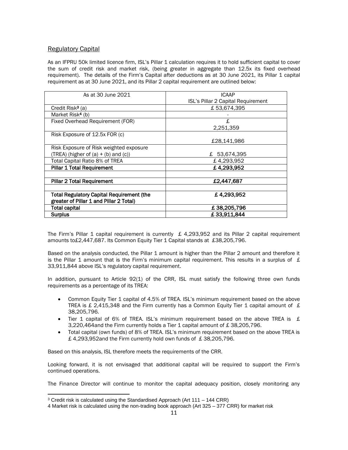## Regulatory Capital

As an IFPRU 50k limited licence firm, ISL's Pillar 1 calculation requires it to hold sufficient capital to cover the sum of credit risk and market risk, (being greater in aggregate than 12.5x its fixed overhead requirement). The details of the Firm's Capital after deductions as at 30 June 2021, its Pillar 1 capital requirement as at 30 June 2021, and its Pillar 2 capital requirement are outlined below:

| As at 30 June 2021                               | ICAAP                              |  |  |
|--------------------------------------------------|------------------------------------|--|--|
|                                                  | ISL's Pillar 2 Capital Requirement |  |  |
| Credit Risk <sup>3</sup> (a)                     | £ 53,674,395                       |  |  |
| Market Risk <sup>4</sup> (b)                     |                                    |  |  |
| Fixed Overhead Requirement (FOR)                 | £.                                 |  |  |
|                                                  | 2,251,359                          |  |  |
| Risk Exposure of 12.5x FOR (c)                   |                                    |  |  |
|                                                  | £28,141,986                        |  |  |
| Risk Exposure of Risk weighted exposure          |                                    |  |  |
| (TREA) (higher of $(a) + (b)$ and $(c)$ )        | £ 53,674,395                       |  |  |
| Total Capital Ratio 8% of TREA                   | £4,293,952                         |  |  |
| <b>Pillar 1 Total Requirement</b>                | £ 4,293,952                        |  |  |
|                                                  |                                    |  |  |
| <b>Pillar 2 Total Requirement</b>                | £2,447,687                         |  |  |
|                                                  |                                    |  |  |
| <b>Total Regulatory Capital Requirement (the</b> | £4,293,952                         |  |  |
| greater of Pillar 1 and Pillar 2 Total)          |                                    |  |  |
| <b>Total capital</b>                             | £38,205,796                        |  |  |
| <b>Surplus</b>                                   | £33,911,844                        |  |  |

The Firm's Pillar 1 capital requirement is currently  $£$  4,293,952 and its Pillar 2 capital requirement amounts to£2,447,687. Its Common Equity Tier 1 Capital stands at £38,205,796.

Based on the analysis conducted, the Pillar 1 amount is higher than the Pillar 2 amount and therefore it is the Pillar 1 amount that is the Firm's minimum capital requirement. This results in a surplus of  $E$ 33,911,844 above ISL's regulatory capital requirement.

In addition, pursuant to Article 92(1) of the CRR, ISL must satisfy the following three own funds requirements as a percentage of its TREA:

- Common Equity Tier 1 capital of 4.5% of TREA. ISL's minimum requirement based on the above TREA is £ 2,415,348 and the Firm currently has a Common Equity Tier 1 capital amount of £ 38,205,796.
- Tier 1 capital of 6% of TREA. ISL's minimum requirement based on the above TREA is  $E$ 3,220,464and the Firm currently holds a Tier 1 capital amount of £ 38,205,796.
- Total capital (own funds) of 8% of TREA. ISL's minimum requirement based on the above TREA is £ 4,293,952and the Firm currently hold own funds of £ 38,205,796.

Based on this analysis, ISL therefore meets the requirements of the CRR.

Looking forward, it is not envisaged that additional capital will be required to support the Firm's continued operations.

The Finance Director will continue to monitor the capital adequacy position, closely monitoring any

<sup>3</sup> Credit risk is calculated using the Standardised Approach (Art 111 – 144 CRR)

<sup>4</sup> Market risk is calculated using the non-trading book approach (Art 325 – 377 CRR) for market risk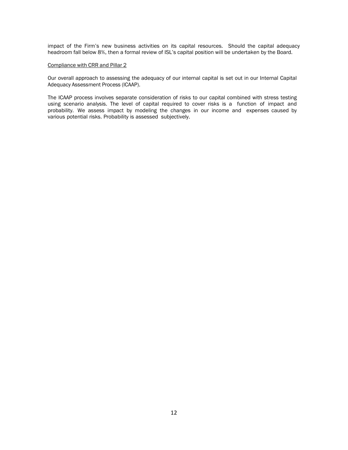impact of the Firm's new business activities on its capital resources. Should the capital adequacy headroom fall below 8%, then a formal review of ISL's capital position will be undertaken by the Board.

## Compliance with CRR and Pillar 2

Our overall approach to assessing the adequacy of our internal capital is set out in our Internal Capital Adequacy Assessment Process (ICAAP).

The ICAAP process involves separate consideration of risks to our capital combined with stress testing using scenario analysis. The level of capital required to cover risks is a function of impact and probability. We assess impact by modeling the changes in our income and expenses caused by various potential risks. Probability is assessed subjectively.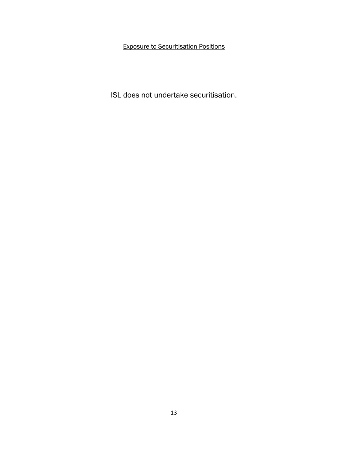Exposure to Securitisation Positions

ISL does not undertake securitisation.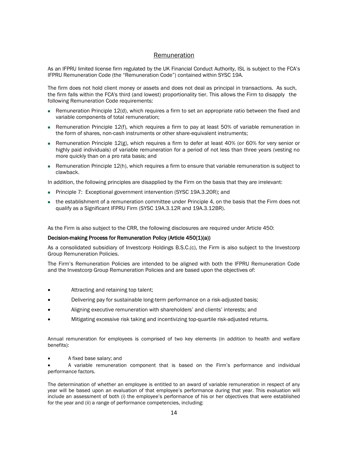## Remuneration

As an IFPRU limited license firm regulated by the UK Financial Conduct Authority, ISL is subject to the FCA's IFPRU Remuneration Code (the "Remuneration Code") contained within SYSC 19A.

The firm does not hold client money or assets and does not deal as principal in transactions. As such, the firm falls within the FCA's third (and lowest) proportionality tier. This allows the Firm to disapply the following Remuneration Code requirements:

- $\blacksquare$  Remuneration Principle 12(d), which requires a firm to set an appropriate ratio between the fixed and variable components of total remuneration;
- Remuneration Principle 12(f), which requires a firm to pay at least 50% of variable remuneration in the form of shares, non-cash instruments or other share-equivalent instruments;
- Remuneration Principle 12(g), which requires a firm to defer at least 40% (or 60% for very senior or highly paid individuals) of variable remuneration for a period of not less than three years (vesting no more quickly than on a pro rata basis; and
- Remuneration Principle 12(h), which requires a firm to ensure that variable remuneration is subject to clawback.

In addition, the following principles are disapplied by the Firm on the basis that they are irrelevant:

- Principle 7: Exceptional government intervention (SYSC 19A.3.20R); and
- the establishment of a remuneration committee under Principle 4, on the basis that the Firm does not qualify as a Significant IFPRU Firm (SYSC 19A.3.12R and 19A.3.12BR).

As the Firm is also subject to the CRR, the following disclosures are required under Article 450:

## Decision-making Process for Remuneration Policy (Article 450(1)(a))

As a consolidated subsidiary of Investcorp Holdings B.S.C.(c), the Firm is also subject to the Investcorp Group Remuneration Policies.

The Firm's Remuneration Policies are intended to be aligned with both the IFPRU Remuneration Code and the Investcorp Group Remuneration Policies and are based upon the objectives of:

- Attracting and retaining top talent;
- Delivering pay for sustainable long-term performance on a risk-adjusted basis;
- Aligning executive remuneration with shareholders' and clients' interests; and
- Mitigating excessive risk taking and incentivizing top-quartile risk-adjusted returns.

Annual remuneration for employees is comprised of two key elements (in addition to health and welfare benefits):

- A fixed base salary; and
- A variable remuneration component that is based on the Firm's performance and individual performance factors.

The determination of whether an employee is entitled to an award of variable remuneration in respect of any year will be based upon an evaluation of that employee's performance during that year. This evaluation will include an assessment of both (i) the employee's performance of his or her objectives that were established for the year and (ii) a range of performance competencies, including: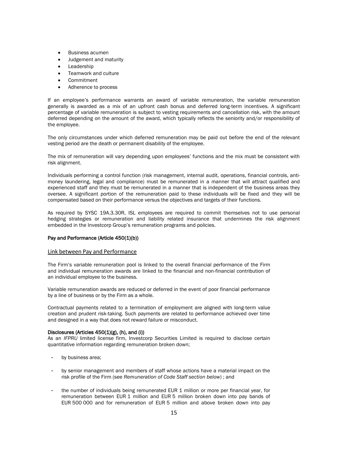- Business acumen
- Judgement and maturity
- **Leadership**
- Teamwork and culture
- **Commitment**
- Adherence to process

If an employee's performance warrants an award of variable remuneration, the variable remuneration generally is awarded as a mix of an upfront cash bonus and deferred long-term incentives. A significant percentage of variable remuneration is subject to vesting requirements and cancellation risk, with the amount deferred depending on the amount of the award, which typically reflects the seniority and/or responsibility of the employee.

The only circumstances under which deferred remuneration may be paid out before the end of the relevant vesting period are the death or permanent disability of the employee.

The mix of remuneration will vary depending upon employees' functions and the mix must be consistent with risk alignment.

Individuals performing a control function (risk management, internal audit, operations, financial controls, antimoney laundering, legal and compliance) must be remunerated in a manner that will attract qualified and experienced staff and they must be remunerated in a manner that is independent of the business areas they oversee. A significant portion of the remuneration paid to these individuals will be fixed and they will be compensated based on their performance versus the objectives and targets of their functions.

As required by SYSC 19A.3.30R, ISL employees are required to commit themselves not to use personal hedging strategies or remuneration and liability related insurance that undermines the risk alignment embedded in the Investcorp Group's remuneration programs and policies.

## Pay and Performance (Article 450(1)(b))

#### Link between Pay and Performance

The Firm's variable remuneration pool is linked to the overall financial performance of the Firm and individual remuneration awards are linked to the financial and non-financial contribution of an individual employee to the business.

Variable remuneration awards are reduced or deferred in the event of poor financial performance by a line of business or by the Firm as a whole.

Contractual payments related to a termination of employment are aligned with long-term value creation and prudent risk-taking. Such payments are related to performance achieved over time and designed in a way that does not reward failure or misconduct.

#### Disclosures (Articles  $450(1)(g)$ , (h), and (i))

As an *IFPRU* limited license firm, Investcorp Securities Limited is required to disclose certain quantitative information regarding remuneration broken down;

- by business area;
- by senior management and members of staff whose actions have a material impact on the risk profile of the Firm (see *Remuneration of Code Staff section below*) ; and
- the number of individuals being remunerated EUR 1 million or more per financial year, for remuneration between EUR 1 million and EUR 5 million broken down into pay bands of EUR 500 000 and for remuneration of EUR 5 million and above broken down into pay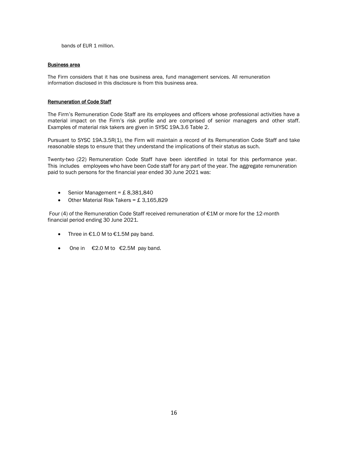bands of EUR 1 million.

## Business area

The Firm considers that it has one business area, fund management services. All remuneration information disclosed in this disclosure is from this business area.

## Remuneration of Code Staff

The Firm's Remuneration Code Staff are its employees and officers whose professional activities have a material impact on the Firm's risk profile and are comprised of senior managers and other staff. Examples of material risk takers are given in SYSC 19A.3.6 Table 2.

Pursuant to SYSC 19A.3.5R(1), the Firm will maintain a record of its Remuneration Code Staff and take reasonable steps to ensure that they understand the implications of their status as such.

Twenty-two (22) Remuneration Code Staff have been identified in total for this performance year. This includes employees who have been Code staff for any part of the year. The aggregate remuneration paid to such persons for the financial year ended 30 June 2021 was:

- Senior Management =  $£ 8,381,840$
- Other Material Risk Takers =  $£ 3,165,829$

Four (4) of the Remuneration Code Staff received remuneration of €1M or more for the 12-month financial period ending 30 June 2021.

- Three in €1.0 M to €1.5M pay band.
- One in  $\epsilon$ 2.0 M to  $\epsilon$ 2.5M pay band.